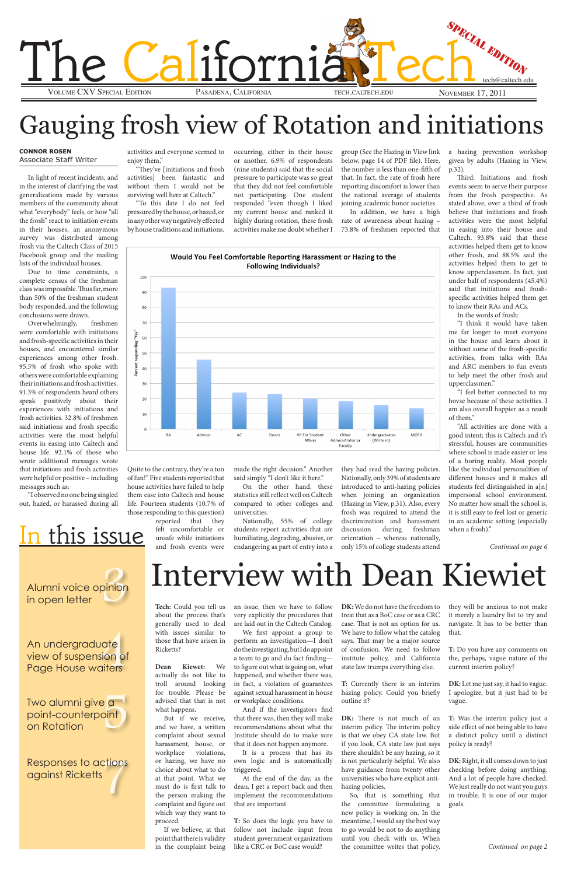iate<br>sion of<br>aiters An undergraduate view of suspension of Page House waiters

e a<br>oint Two alumni give <mark>a</mark> point-counterpoint on Rotation

Alumni voice opinion

o actions<br>atts<br>*A* Responses to actions against Ricketts

in open letter

pinion



## Gauging frosh view of Rotation and initiations

#### **Connor Rosen** Associate Staff Writer

In light of recent incidents, and in the interest of clarifying the vast generalizations made by various members of the community about what "everybody" feels, or how "all the frosh" react to initiation events in their houses, an anonymous survey was distributed among frosh via the Caltech Class of 2015 Facebook group and the mailing lists of the individual houses.

Due to time constraints, a complete census of the freshman class was impossible. Thus far, more than 50% of the freshman student body responded, and the following conclusions were drawn.

> this issue reported that they felt uncomfortable or unsafe while initiations and frosh events were

Overwhelmingly, freshmen were comfortable with initiations and frosh-specific activities in their houses, and encountered similar experiences among other frosh. 95.5% of frosh who spoke with others were comfortable explaining their initiations and frosh activities. 91.3% of respondents heard others speak positively about their experiences with initiations and frosh activities. 32.8% of freshmen said initiations and frosh specific activities were the most helpful events in easing into Caltech and house life. 92.1% of those who wrote additional messages wrote that initiations and frosh activities were helpful or positive – including messages such as:

"I observed no one being singled out, hazed, or harassed during all

activities and everyone seemed to enjoy them."

"They've [initiations and frosh activities] been fantastic and without them I would not be surviving well here at Caltech."

"To this date I do not feel pressured by the house, or hazed, or in any other way negatively effected by house traditions and initiations.

Quite to the contrary, they're a ton of fun!" Five students reported that house activities have failed to help them ease into Caltech and house life. Fourteen students (10.7% of those responding to this question)

occurring, either in their house or another. 6.9% of respondents (nine students) said that the social pressure to participate was so great that they did not feel comfortable not participating. One student responded "even though I liked my current house and ranked it highly during rotation, these frosh activities make me doubt whether I

made the right decision." Another said simply "I don't like it here."

On the other hand, these statistics still reflect well on Caltech compared to other colleges and universities.

Nationally, 55% of college students report activities that are humiliating, degrading, abusive, or endangering as part of entry into a group (See the Hazing in View link below, page 14 of PDF file). Here, the number is less than one-fifth of that. In fact, the rate of frosh here reporting discomfort is lower than the national average of students joining academic honor societies.

In addition, we have a high rate of awareness about hazing – 73.8% of freshmen reported that

they had read the hazing policies. Nationally, only 39% of students are introduced to anti-hazing policies when joining an organization (Hazing in View, p.31). Also, every frosh was required to attend the discrimination and harassment discussion during freshman orientation – whereas nationally, only 15% of college students attend

DK: There is not much of an interim policy. The interim policy is that we obey CA state law. But if you look, CA state law just says there shouldn't be any hazing, so it is not particularly helpful. We also have guidance from twenty other universities who have explicit antihazing policies.

a hazing prevention workshop given by adults (Hazing in View, p.32).

Third: Initiations and frosh events seem to serve their purpose from the frosh perspective. As stated above, over a third of frosh believe that initiations and frosh activities were the most helpful in easing into their house and Caltech. 93.8% said that these activities helped them get to know other frosh, and 88.5% said the activities helped them to get to know upperclassmen. In fact, just under half of respondents (45.4%) said that initiations and froshspecific activities helped them get to know their RAs and ACs.

In the words of frosh:

"I think it would have taken me far longer to meet everyone in the house and learn about it without some of the frosh-specific activities, from talks with RAs and ARC members to fun events to help meet the other frosh and upperclassmen."

"I feel better connected to my hovse because of these activities. I am also overall happier as a result of them."

"All activities are done with a good intent; this is Caltech and it's stressful, houses are communities where school is made easier or less of a boring reality. Most people like the individual personalities of different houses and it makes all students feel distinguished in a[n] impersonal school environment. No matter how small the school is, it is still easy to feel lost or generic in an academic setting (especially when a frosh)."

*Continued on page 6*



## Interview with Dean Kiewiet

**Tech:** Could you tell us about the process that's generally used to deal with issues similar to

Ricketts?

**Dean Kiewet:** We actually do not like to troll around looking for trouble. Please be advised that that is not what happens.

But if we receive, and we have, a written complaint about sexual harassment, house, or workplace violations, or hazing, we have no choice about what to do at that point. What we

those that have arisen in perform an investigation—I don't

must do is first talk to the person making the complaint and figure out which way they want to

proceed.

If we believe, at that point that there is validity in the complaint being

an issue, then we have to follow very explicitly the procedures that are laid out in the Caltech Catalog. We first appoint a group to

do the investigating, but I do appoint a team to go and do fact finding to figure out what is going on, what happened, and whether there was, in fact, a violation of guarantees against sexual harassment in house or workplace conditions.

And if the investigators find that there was, then they will make recommendations about what the Institute should do to make sure that it does not happen anymore. It is a process that has its own logic and is automatically triggered.

At the end of the day, as the dean, I get a report back and then implement the recommendations that are important.

**T:** So does the logic you have to follow not include input from student government organizations like a CRC or BoC case would?

**DK:** We do not have the freedom to treat that as a BoC case or as a CRC case. That is not an option for us. We have to follow what the catalog says. That may be a major source of confusion. We need to follow institute policy, and California state law trumps everything else.

**T:** Currently there is an interim hazing policy. Could you briefly outline it?

So, that is something that the committee formulating a new policy is working on. In the meantime, I would say the best way to go would be not to do anything until you check with us. When the committee writes that policy,

they will be anxious to not make it merely a laundry list to try and navigate. It has to be better than that.

**T:** Do you have any comments on the, perhaps, vague nature of the current interim policy?

**DK:** Let me just say, it had to vague. I apologize, but it just had to be vague.

**T:** Was the interim policy just a side effect of not being able to have a distinct policy until a distinct policy is ready?

**DK:** Right, it all comes down to just checking before doing anything. And a lot of people have checked. We just really do not want you guys in trouble. It is one of our major goals.

*Continued on page 2*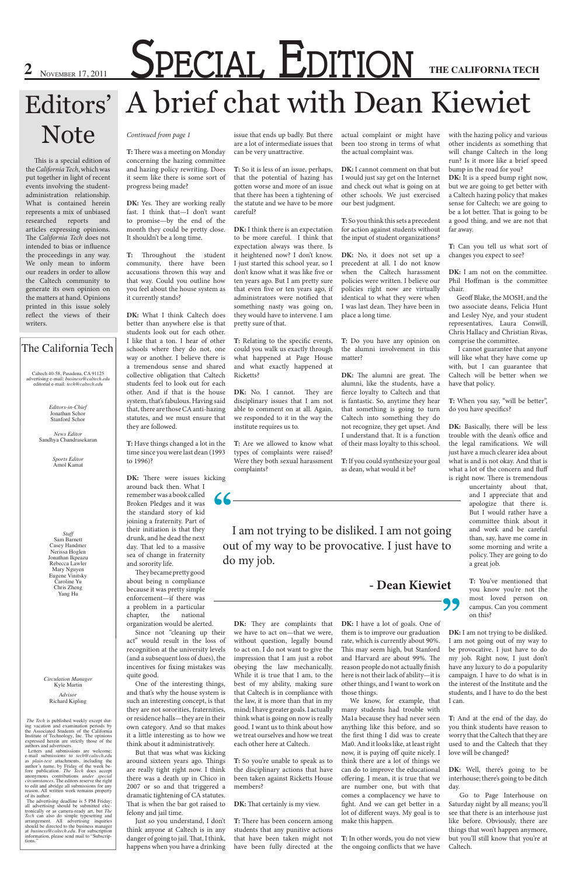Caltech 40-58, Pasadena, CA 91125 advertising e-mail: *business@caltech.edu* editorial e-mail: *tech@caltech.edu*

> *Editors-in-Chief* Jonathan Schor Stanford Schor

*Advisor* Richard Kipling

*The Tech* is published weekly except during vacation and examination periods by the Associated Students of the California Institute of Technology, Inc. The opinions expressed herein are strictly those of the authors and advertisers. Letters and submissions are welcome;

e-mail submissions to *tech@caltech.edu* as *plain-text* attachments, including the author's name, by Friday of the week be-<br>fore publication. *The Tech* does accept anonymous contributions *under special circumstances*. The editors reserve the right to edit and abridge all submissions for any reason. All written work remains property

of its author.<br>The advertising deadline is 5 PM Friday;<br>all advertising should be submitted elec-<br>tronically or as camera-ready art, but *The*<br>*Tech* can also do simple typesetting inquiries<br>arrangement. All advertising in at *business@caltech.edu*. For subscription information, please send mail to "Subscrip-<br>tions."

DK: Yes. They are working really fast. I think that—I don't want to promise—by the end of the month they could be pretty close. It shouldn't be a long time.

#### The California Tech

*Circulation Manager* Kyle Martin

*News Editor* Sandhya Chandrasekaran

> *Staff* Sam Barnett Casey Handmer Nerissa Hoglen Jonathan Ikpeazu Rebecca Lawler Mary Nguyen Eugene Vinitsky Caroline Yu Chris Zheng Yang Hu

DK: There were issues kicking around back then. What I remember was a book called Broken Pledges and it was the standard story of kid joining a fraternity. Part of their initiation is that they drunk, and he dead the next day. That led to a massive sea of change in fraternity and sorority life.

*Sports Editor* Amol Kamat

#### *Continued from page 1*

**T:** There was a meeting on Monday concerning the hazing committee and hazing policy rewriting. Does it seem like there is some sort of progress being made?

**T:** Throughout the student community, there have been accusations thrown this way and that way. Could you outline how you feel about the house system as it currently stands?

**DK:** What I think Caltech does better than anywhere else is that students look out for each other. I like that a ton. I hear of other schools where they do not, one way or another. I believe there is a tremendous sense and shared collective obligation that Caltech students feel to look out for each other. And if that is the house system, that's fabulous. Having said that, there are those CA anti-hazing statutes, and we must ensure that they are followed.

**DK:** I think there is an expectation to be more careful. I think that expectation always was there. Is it heightened now? I don't know. I just started this school year, so I don't know what it was like five or ten years ago. But I am pretty sure that even five or ten years ago, if administrators were notified that something nasty was going on, they would have to intervene. I am pretty sure of that.

DK: No. I cannot. They are disciplinary issues that I am not able to comment on at all. Again, we responded to it in the way the institute requires us to.

**T:** Have things changed a lot in the time since you were last dean (1993 to 1996)?

They became pretty good about being n compliance because it was pretty simple enforcement—if there was a problem in a particular chapter, the national organization would be alerted.

Since not "cleaning up their act" would result in the loss of

recognition at the university levels (and a subsequent loss of dues), the incentives for fixing mistakes was quite good.

One of the interesting things, and that's why the house system is such an interesting concept, is that they are not sororities, fraternities, or residence halls—they are in their own category. And so that makes it a little interesting as to how we think about it administratively.

But that was what was kicking around sixteen years ago. Things are really tight right now. I think there was a death up in Chico in 2007 or so and that triggered a dramatic tightening of CA statutes. That is when the bar got raised to felony and jail time.

Just so you understand, I don't think anyone at Caltech is in any danger of going to jail. That, I think, happens when you have a drinking

issue that ends up badly. But there are a lot of intermediate issues that can be very unattractive.

> DK: It is a speed bump right now, but we are going to get better with a Caltech hazing policy that makes sense for Caltech; we are going to be a lot better. That is going to be a good thing, and we are not that far away.

**T:** So it is less of an issue, perhaps, that the potential of hazing has gotten worse and more of an issue that there has been a tightening of the statute and we have to be more careful?

> DK: I am not on the committee. Phil Hoffman is the committee chair.

DK: Basically, there will be less trouble with the dean's office and the legal ramifications. We will just have a much clearer idea about what is and is not okay. And that is what a lot of the concern and fluff is right now. There is tremendous

**T:** Relating to the specific events, could you walk us exactly through what happened at Page House and what exactly happened at Ricketts?

**T:** Are we allowed to know what types of complaints were raised? Were they both sexual harassment complaints?

# **2** November 17, 2011 **SPECIAL EDITION** THE CALIFORNIA TECH A brief chat with Dean Kiewiet Editors'

**DK:** They are complaints that **DK:** I have a lot of goals. One of to act on. I do not want to give the impression that I am just a robot obeying the law mechanically. While it is true that I am, to the best of my ability, making sure that Caltech is in compliance with the law, it is more than that in my mind; I have greater goals. I actually think what is going on now is really good. I want us to think about how we treat ourselves and how we treat each other here at Caltech.

**T:** So you're unable to speak as to the disciplinary actions that have been taken against Ricketts House members?

**DK:** That certainly is my view.

**T:** There has been concern among students that any punitive actions that have been taken might not have been fully directed at the

actual complaint or might have been too strong in terms of what the actual complaint was.

**DK:** I cannot comment on that but I would just say get on the Internet and check out what is going on at other schools. We just exercised our best judgment.

**T:** So you think this sets a precedent for action against students without the input of student organizations?

**DK:** No, it does not set up a precedent at all. I do not know when the Caltech harassment policies were written. I believe our policies right now are virtually identical to what they were when I was last dean. They have been in place a long time.

**T:** Do you have any opinion on the alumni involvement in this matter?

**DK:** The alumni are great. The alumni, like the students, have a fierce loyalty to Caltech and that is fantastic. So, anytime they hear that something is going to turn Caltech into something they do not recognize, they get upset. And I understand that. It is a function of their mass loyalty to this school.

**T:** If you could synthesize your goal as dean, what would it be?

This may seem high, but Stanford and Harvard are about 99%. The reason people do not actually finish here is not their lack of ability—it is other things, and I want to work on those things.

without question, legally bound rate, which is currently about 90%. I am not going out of my way to be provocative. I just have to do my job. Right now, I just don't have any luxury to do a popularity campaign. I have to do what is in the interest of the Institute and the students, and I have to do the best I can.

**DK:** They are complaints that **DK:** I have a lot of goals. One of we have to act on—that we were, them is to improve our graduation **DK:** I am not trying to be disliked.

We know, for example, that many students had trouble with Ma1a because they had never seen anything like this before, and so the first thing I did was to create Ma0. And it looks like, at least right now, it is paying off quite nicely. I think there are a lot of things we can do to improve the educational offering. I mean, it is true that we are number one, but with that comes a complacency we have to fight. And we can get better in a lot of different ways. My goal is to make this happen.

**T:** In other words, you do not view the ongoing conflicts that we have

with the hazing policy and various other incidents as something that will change Caltech in the long run? Is it more like a brief speed bump in the road for you?

**T:** Can you tell us what sort of changes you expect to see?

 Geoff Blake, the MOSH, and the two associate deans, Felicia Hunt and Lesley Nye, and your student representatives, Laura Conwill, Chris Hallacy and Christian Rivas, comprise the committee.

 I cannot guarantee that anyone will like what they have come up with, but I can guarantee that Caltech will be better when we have that policy.

**T:** When you say, "will be better", do you have specifics?

> uncertainty about that, and I appreciate that and apologize that there is. But I would rather have a committee think about it and work and be careful than, say, have me come in some morning and write a policy. They are going to do a great job.

**T:** You've mentioned that you know you're not the most loved person on campus. Can you comment on this?

**T:** And at the end of the day, do you think students have reason to worry that the Caltech that they are used to and the Caltech that they love will be changed?

**DK:** Well, there's going to be interhouse; there's going to be ditch day.

 Go to Page Interhouse on Saturday night by all means; you'll see that there is an interhouse just like before. Obviously, there are things that won't happen anymore, but you'll still know that you're at Caltech.

**"** I am not trying to be disliked. I am not going out of my way to be provocative. I just have to do my job.

**- Dean Kiewiet**

## Note

This is a special edition of the *California Tech*, which was put together in light of recent events involving the studentadministration relationship. What is contained herein represents a mix of unbiased researched reports and articles expressing opinions. The *California Tech* does not intended to bias or influence the proceedings in any way. We only mean to inform our readers in order to allow the Caltech community to generate its own opinion on the matters at hand. Opinions printed in this issue solely reflect the views of their writers.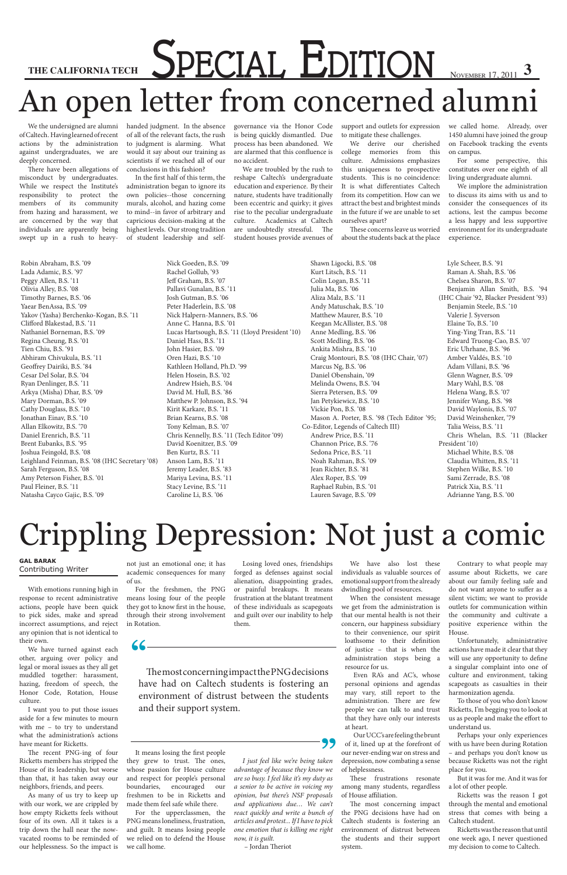## Crippling Depression: Not just a comic

# THE CALIFORNIA TECHAL **EDITION** NOVEMBER 17, 2011 3 An open letter from concerned alumni

**"** The most concerning impact the PNG decisions have had on Caltech students is fostering an environment of distrust between the students and their support system.

**"**

We the undersigned are alumni of Caltech. Having learned of recent actions by the administration against undergraduates, we are deeply concerned.

There have been allegations of misconduct by undergraduates. While we respect the Institute's responsibility to protect the members of its community from hazing and harassment, we are concerned by the way that individuals are apparently being swept up in a rush to heavyhanded judgment. In the absence of all of the relevant facts, the rush to judgment is alarming. What would it say about our training as scientists if we reached all of our conclusions in this fashion?

In the first half of this term, the administration began to ignore its own policies--those concerning murals, alcohol, and hazing come to mind--in favor of arbitrary and capricious decision-making at the highest levels. Our strong tradition of student leadership and selfgovernance via the Honor Code is being quickly dismantled. Due process has been abandoned. We are alarmed that this confluence is no accident.

We are troubled by the rush to reshape Caltech's undergraduate education and experience. By their nature, students have traditionally been eccentric and quirky; it gives rise to the peculiar undergraduate culture. Academics at Caltech are undoubtedly stressful. The student houses provide avenues of support and outlets for expression to mitigate these challenges.

We derive our cherished college memories from this culture. Admissions emphasizes this uniqueness to prospective students. This is no coincidence: It is what differentiates Caltech from its competition. How can we attract the best and brightest minds in the future if we are unable to set ourselves apart?

These concerns leave us worried about the students back at the place we called home. Already, over 1450 alumni have joined the group on Facebook tracking the events on campus.

For some perspective, this constitutes over one eighth of all living undergraduate alumni.

We implore the administration to discuss its aims with us and to consider the consequences of its actions, lest the campus become a less happy and less supportive environment for its undergraduate experience.

Robin Abraham, B.S. '09 Lada Adamic, B.S. '97 Peggy Allen, B.S. '11 Olivia Alley, B.S. '08 Timothy Barnes, B.S. '06 Yaear BenAssa, B.S. '09 Yakov (Yasha) Berchenko-Kogan, B.S. '11 Clifford Blakestad, B.S. '11 Nathaniel Borneman, B.S. '09 Regina Cheung, B.S. '01 Tien Chiu, B.S. '91 Abhiram Chivukula, B.S. '11 Geoffrey Dairiki, B.S. '84 Cesar Del Solar, B.S. '04 Ryan Denlinger, B.S. '11 Arkya (Misha) Dhar, B.S. '09 Mary Dorman, B.S. '09 Cathy Douglass, B.S. '10 Jonathan Einav, B.S. '10 Allan Elkowitz, B.S. '70 Daniel Erenrich, B.S. '11 Brent Eubanks, B.S. '95 Joshua Feingold, B.S. '08 Leighland Feinman, B.S. '08 (IHC Secretary '08) Sarah Ferguson, B.S. '08 Amy Peterson Fisher, B.S. '01 Paul Fleiner, B.S. '11 Natasha Cayco Gajic, B.S. '09

Nick Goeden, B.S. '09

Rachel Gollub, '93 Jeff Graham, B.S. '07 Pallavi Gunalan, B.S. '11 Josh Gutman, B.S. '06 Peter Haderlein, B.S. '08 Nick Halpern-Manners, B.S. '06 Anne C. Hanna, B.S. '01 Lucas Hartsough, B.S. '11 (Lloyd President '10) Daniel Hass, B.S. '11 John Hasier, B.S. '09 Oren Hazi, B.S. '10 Kathleen Holland, Ph.D. '99 Helen Hosein, B.S. '02 Andrew Hsieh, B.S. '04 David M. Hull, B.S. '86 Matthew P. Johnson, B.S. '94 Kirit Karkare, B.S. '11 Brian Kearns, B.S. '08 Tony Kelman, B.S. '07 Chris Kennelly, B.S. '11 (Tech Editor '09) David Koenitzer, B.S. '09 Ben Kurtz, B.S. '11 Anson Lam, B.S. '11 Jeremy Leader, B.S. '83 Mariya Levina, B.S. '11 Stacy Levine, B.S. '11 Caroline Li, B.S. '06

Shawn Ligocki, B.S. '08

Kurt Litsch, B.S. '11 Colin Logan, B.S. '11 Julia Ma, B.S. '06 Aliza Malz, B.S. '11 Andy Matuschak, B.S. '10 Matthew Maurer, B.S. '10 Keegan McAllister, B.S. '08 Anne Medling, B.S. '06 Scott Medling, B.S. '06 Ankita Mishra, B.S. '10 Craig Montouri, B.S. '08 (IHC Chair, '07) Marcus Ng, B.S. '06 Daniel Obenshain, '09 Melinda Owens, B.S. '04 Sierra Petersen, B.S. '09 Jan Petykiewicz, B.S. '10 Vickie Pon, B.S. '08 Mason A. Porter, B.S. '98 (Tech Editor '95; Co-Editor, Legends of Caltech III) Andrew Price, B.S. '11 Channon Price, B.S. '76 Sedona Price, B.S. '11 Noah Rahman, B.S. '09 Jean Richter, B.S. '81 Alex Roper, B.S. '09 Raphael Rubin, B.S. '01 Lauren Savage, B.S. '09

Lyle Scheer, B.S. '91 Raman A. Shah, B.S. '06 Chelsea Sharon, B.S. '07 Benjamin Allan Smith, B.S. '94 (IHC Chair '92, Blacker President '93) Benjamin Steele, B.S. '10 Valerie J. Syverson Elaine To, B.S. '10 Ying-Ying Tran, B.S. '11 Edward Truong-Cao, B.S. '07 Eric Uhrhane, B.S. '96 Amber Valdés, B.S. '10 Adam Villani, B.S. '96 Glenn Wagner, B.S. '09 Mary Wahl, B.S. '08 Helena Wang, B.S. '07 Jennifer Wang, B.S. '98 David Waylonis, B.S. '07 David Weinshenker, '79 Talia Weiss, B.S. '11 Chris Whelan, B.S. '11 (Blacker President '10) Michael White, B.S. '08 Claudia Whitten, B.S. '11 Stephen Wilke, B.S. '10 Sami Zerrade, B.S. '08 Patrick Xia, B.S. '11 Adrianne Yang, B.S. '00

#### **Gal Barak** Contributing Writer

With emotions running high in response to recent administrative actions, people have been quick to pick sides, make and spread incorrect assumptions, and reject any opinion that is not identical to their own. We have turned against each other, arguing over policy and legal or moral issues as they all get muddled together: harassment, hazing, freedom of speech, the Honor Code, Rotation, House culture.

I want you to put those issues aside for a few minutes to mourn with me – to try to understand what the administration's actions have meant for Ricketts.

The recent PNG-ing of four Ricketts members has stripped the House of its leadership, but worse than that, it has taken away our neighbors, friends, and peers.

As many of us try to keep up with our work, we are crippled by how empty Ricketts feels without four of its own. All it takes is a trip down the hall near the nowvacated rooms to be reminded of our helplessness. So the impact is

not just an emotional one; it has academic consequences for many of us.

For the freshmen, the PNG means losing four of the people they got to know first in the house, through their strong involvement in Rotation.

It means losing the first people they grew to trust. The ones, whose passion for House culture and respect for people's personal boundaries, encouraged our freshmen to be in Ricketts and made them feel safe while there.

For the upperclassmen, the PNG means loneliness, frustration, and guilt. It means losing people we relied on to defend the House we call home.

Losing loved ones, friendships forged as defenses against social alienation, disappointing grades, or painful breakups. It means frustration at the blatant treatment of these individuals as scapegoats and guilt over our inability to help them.

*I just feel like we're being taken advantage of because they know we are so busy. I feel like it's my duty as a senior to be active in voicing my opinion, but there's NSF proposals and applications due… We can't react quickly and write a bunch of articles and protest... If I have to pick one emotion that is killing me right now, it is guilt.*

– Jordan Theriot

We have also lost these individuals as valuable sources of emotional support from the already dwindling pool of resources.

When the consistent message we get from the administration is that our mental health is not their concern, our happiness subsidiary to their convenience, our spirit loathsome to their definition of justice – that is when the administration stops being a resource for us. Even RA's and AC's, whose personal opinions and agendas may vary, still report to the administration. There are few people we can talk to and trust that they have only our interests at heart.

Our UCC's are feeling the brunt of it, lined up at the forefront of our never-ending war on stress and depression, now combating a sense of helplessness.

These frustrations resonate among many students, regardless of House affiliation.

The most concerning impact the PNG decisions have had on Caltech students is fostering an environment of distrust between the students and their support system.

Contrary to what people may assume about Ricketts, we care about our family feeling safe and do not want anyone to suffer as a silent victim; we want to provide outlets for communication within the community and cultivate a positive experience within the House.

Unfortunately, administrative actions have made it clear that they will use any opportunity to define a singular complaint into one of culture and environment, taking scapegoats as casualties in their harmonization agenda. To those of you who don't know Ricketts, I'm begging you to look at us as people and make the effort to understand us.

Perhaps your only experiences with us have been during Rotation – and perhaps you don't know us because Ricketts was not the right place for you.

But it was for me. And it was for a lot of other people.

Ricketts was the reason I got through the mental and emotional stress that comes with being a Caltech student.

Ricketts was the reason that until one week ago, I never questioned my decision to come to Caltech.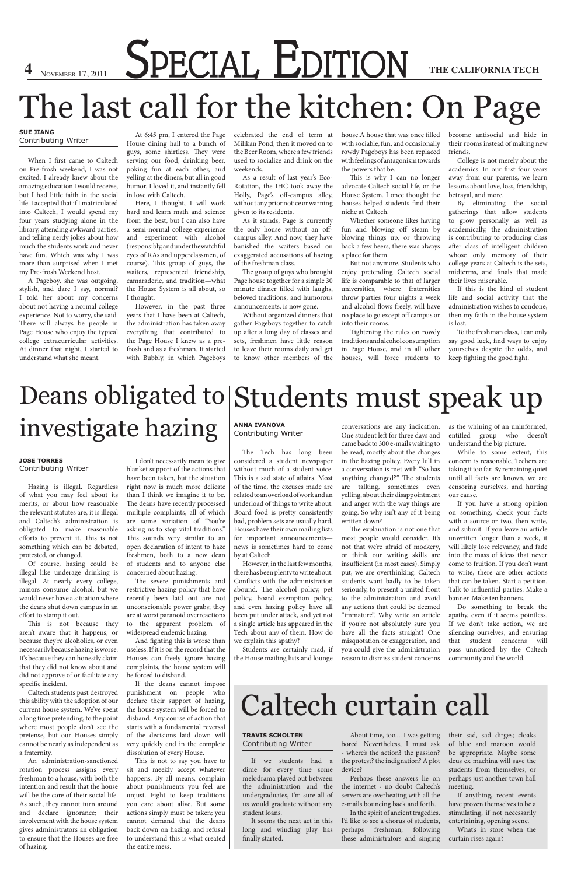# **4** November 17, 2011 **SPECIAL EDITION** THE CALIFORNIA TECH

## The last call for the kitchen: On Page

#### **Sue Jiang** Contributing Writer

When I first came to Caltech on Pre-frosh weekend, I was not excited. I already knew about the amazing education I would receive, but I had little faith in the social life. I accepted that if I matriculated into Caltech, I would spend my four years studying alone in the library, attending awkward parties, and telling nerdy jokes about how much the students work and never have fun. Which was why I was more than surprised when I met my Pre-frosh Weekend host.

A Pageboy, she was outgoing, stylish, and dare I say, normal? I told her about my concerns about not having a normal college experience. Not to worry, she said. There will always be people in Page House who enjoy the typical college extracurricular activities. At dinner that night, I started to understand what she meant.

At 6:45 pm, I entered the Page House dining hall to a bunch of guys, some shirtless. They were serving our food, drinking beer, poking fun at each other, and yelling at the diners, but all in good humor. I loved it, and instantly fell in love with Caltech.

Here, I thought, I will work hard and learn math and science from the best, but I can also have a semi-normal college experience and experiment with alcohol (responsibly, and under the watchful eyes of RAs and upperclassmen, of course). This group of guys, the waiters, represented friendship, camaraderie, and tradition—what the House System is all about, so I thought.

However, in the past three years that I have been at Caltech, the administration has taken away everything that contributed to the Page House I knew as a prefrosh and as a freshman. It started with Bubbly, in which Pageboys

celebrated the end of term at Milikan Pond, then it moved on to the Beer Room, where a few friends used to socialize and drink on the weekends.

As a result of last year's Eco-Rotation, the IHC took away the Holly, Page's off-campus alley, without any prior notice or warning given to its residents.

As it stands, Page is currently the only house without an offcampus alley. And now, they have banished the waiters based on exaggerated accusations of hazing of the freshman class.

The group of guys who brought Page house together for a simple 30 minute dinner filled with laughs, beloved traditions, and humorous announcements, is now gone.

Without organized dinners that gather Pageboys together to catch up after a long day of classes and sets, freshmen have little reason to leave their rooms daily and get to know other members of the house.A house that was once filled with sociable, fun, and occasionally rowdy Pageboys has been replaced with feelings of antagonism towards the powers that be.

This is why I can no longer advocate Caltech social life, or the House System. I once thought the houses helped students find their niche at Caltech.

Whether someone likes having fun and blowing off steam by blowing things up, or throwing back a few beers, there was always a place for them.

But not anymore. Students who enjoy pretending Caltech social life is comparable to that of larger universities, where fraternities throw parties four nights a week and alcohol flows freely, will have no place to go except off campus or into their rooms.

Tightening the rules on rowdy traditions and alcohol consumption in Page House, and in all other houses, will force students to

become antisocial and hide in their rooms instead of making new friends.

College is not merely about the academics. In our first four years away from our parents, we learn lessons about love, loss, friendship, betrayal, and more.

By eliminating the social gatherings that allow students to grow personally as well as academically, the administration is contributing to producing class after class of intelligent children whose only memory of their college years at Caltech is the sets, midterms, and finals that made their lives miserable.

#### Deans obligated to Students must speak up investigate hazing **Anna Ivanova** Contributing Writer conversations are any indication.

If this is the kind of student life and social activity that the administration wishes to condone, then my faith in the house system is lost.

To the freshman class, I can only say good luck, find ways to enjoy yourselves despite the odds, and keep fighting the good fight.

#### **Jose Torres** Contributing Writer

Hazing is illegal. Regardless of what you may feel about its merits, or about how reasonable the relevant statutes are, it is illegal and Caltech's administration is obligated to make reasonable efforts to prevent it. This is not something which can be debated, protested, or changed.

Of course, hazing could be illegal like underage drinking is illegal. At nearly every college, minors consume alcohol, but we would never have a situation where the deans shut down campus in an effort to stamp it out.

This is not because they aren't aware that it happens, or because they're alcoholics, or even necessarily because hazing is worse. It's because they can honestly claim that they did not know about and did not approve of or facilitate any specific incident. Caltech students past destroyed this ability with the adoption of our current house system. We've spent a long time pretending, to the point where most people don't see the pretense, but our Houses simply cannot be nearly as independent as a fraternity. An administration-sanctioned rotation process assigns every freshman to a house, with both the intention and result that the house will be the core of their social life. As such, they cannot turn around and declare ignorance; their involvement with the house system gives administrators an obligation to ensure that the Houses are free of hazing.

I don't necessarily mean to give blanket support of the actions that have been taken, but the situation right now is much more delicate than I think we imagine it to be. The deans have recently processed multiple complaints, all of which are some variation of "You're asking us to stop vital traditions." This sounds very similar to an open declaration of intent to haze freshmen, both to a new dean of students and to anyone else concerned about hazing.

The severe punishments and restrictive hazing policy that have recently been laid out are not unconscionable power grabs; they are at worst paranoid overreactions to the apparent problem of widespread endemic hazing.

And fighting this is worse than

useless. If it is on the record that the Houses can freely ignore hazing complaints, the house system will be forced to disband.

If the deans cannot impose punishment on people who declare their support of hazing, the house system will be forced to disband. Any course of action that starts with a fundamental reversal of the decisions laid down will very quickly end in the complete dissolution of every House.

This is not to say you have to sit and meekly accept whatever happens. By all means, complain about punishments you feel are unjust. Fight to keep traditions you care about alive. But some actions simply must be taken; you cannot demand that the deans back down on hazing, and refusal to understand this is what created the entire mess.

The Tech has long been considered a student newspaper without much of a student voice. This is a sad state of affairs. Most of the time, the excuses made are related to an overload of work and an underload of things to write about. Board food is pretty consistently bad, problem sets are usually hard, Houses have their own mailing lists for important announcements news is sometimes hard to come by at Caltech.

However, in the last few months, there has been plenty to write about. Conflicts with the administration abound. The alcohol policy, pet policy, board exemption policy, and even hazing policy have all been put under attack, and yet not a single article has appeared in the Tech about any of them. How do we explain this apathy?

One student left for three days and came back to 300 e-mails waiting to be read, mostly about the changes in the hazing policy. Every lull in a conversation is met with "So has anything changed?" The students are talking, sometimes even yelling, about their disappointment and anger with the way things are going. So why isn't any of it being written down?

The explanation is not one that most people would consider. It's not that we're afraid of mockery, or think our writing skills are insufficient (in most cases). Simply put, we are overthinking. Caltech students want badly to be taken seriously, to present a united front to the administration and avoid any actions that could be deemed "immature". Why write an article if you're not absolutely sure you have all the facts straight? One misquotation or exaggeration, and

Students are certainly mad, if you could give the administration pass unnoticed by the Caltech Do something to break the apathy, even if it seems pointless. If we don't take action, we are silencing ourselves, and ensuring that student concerns will

the House mailing lists and lounge reason to dismiss student concerns community and the world.

as the whining of an uninformed, entitled group who doesn't understand the big picture.

While to some extent, this concern is reasonable, Techers are taking it too far. By remaining quiet until all facts are known, we are censoring ourselves, and hurting our cause.

If you have a strong opinion on something, check your facts with a source or two, then write, and submit. If you leave an article unwritten longer than a week, it will likely lose relevancy, and fade into the mass of ideas that never come to fruition. If you don't want to write, there are other actions that can be taken. Start a petition. Talk to influential parties. Make a banner. Make ten banners.

## Caltech curtain call

#### **Travis Scholten** Contributing Writer

If we students had a dime for every time some melodrama played out between the administration and the undergraduates, I'm sure all of us would graduate without any student loans.

It seems the next act in this long and winding play has finally started.

About time, too.... I was getting bored. Nevertheless, I must ask - where's the action? the passion? the protest? the indignation? A plot device?

Perhaps these answers lie on the internet - no doubt Caltech's servers are overheating with all the e-mails bouncing back and forth.

In the spirit of ancient tragedies, I'd like to see a chorus of students, perhaps freshman, following these administrators and singing

their sad, sad dirges; cloaks of blue and maroon would be appropriate. Maybe some deus ex machina will save the students from themselves, or perhaps just another town hall meeting.

If anything, recent events have proven themselves to be a stimulating, if not necessarily entertaining, opening scene. What's in store when the curtain rises again?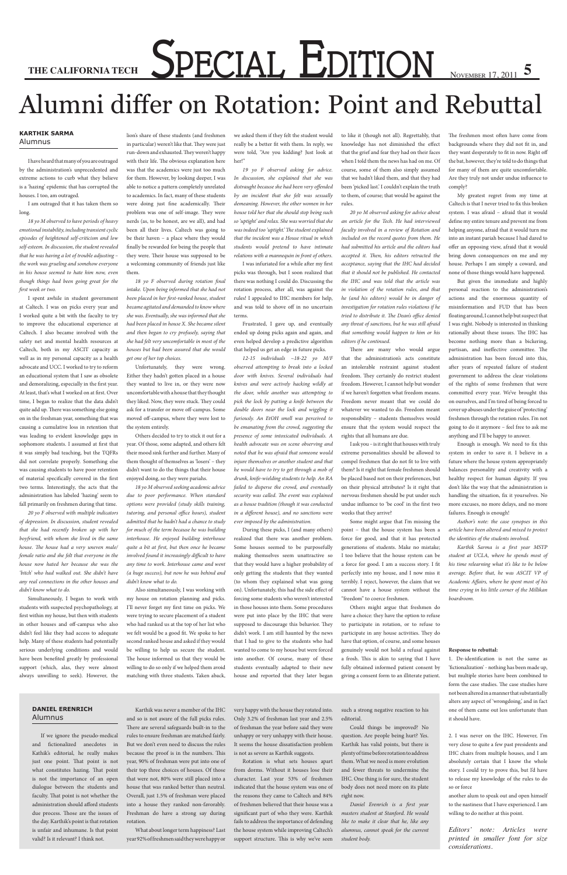# THE CALIFORNIA TECHAL **EDITION** NOVEMBER 17, 2011 5

### Alumni differ on Rotation: Point and Rebuttal

#### **Karthik Sarma** Alumnus

I have heard that many of you are outraged by the administration's unprecedented and extreme actions to curb what they believe is a 'hazing' epidemic that has corrupted the houses. I too, am outraged.

I am outraged that it has taken them so long.

*18 yo M observed to have periods of heavy emotional instability, including transient cyclic episodes of heightened self-criticism and low self-esteem. In discussion, the student revealed that he was having a lot of trouble adjusting – the work was grueling and somehow everyone in his house seemed to hate him now, even though things had been going great for the first week or two.*

I spent awhile in student government at Caltech. I was on picks every year and I worked quite a bit with the faculty to try to improve the educational experience at Caltech. I also became involved with the safety net and mental health resources at Caltech, both in my ASCIT capacity as well as in my personal capacity as a health advocate and UCC. I worked to try to reform an educational system that I saw as obsolete and demoralizing, especially in the first year. At least, that's what I worked on at first. Over time, I began to realize that the data didn't quite add up. There was something else going on in the freshman year, something that was causing a cumulative loss in retention that was leading to evident knowledge gaps in sophomore students. I assumed at first that it was simply bad teaching, but the TQFRs did not correlate properly. Something else was causing students to have poor retention of material specifically covered in the first two terms. Interestingly, the acts that the administration has labeled 'hazing' seem to fall primarily on freshmen during that time.

*20 yo F observed with multiple indicators of depression. In discussion, student revealed that she had recently broken up with her boyfriend, with whom she lived in the same house. The house had a very uneven male/ female ratio and she felt that everyone in the house now hated her because she was the 'bitch' who had walked out. She didn't have any real connections in the other houses and didn't know what to do.*

Simultaneously, I began to work with students with suspected psychopathology, at first within my house, but then with students in other houses and off-campus who also didn't feel like they had access to adequate help. Many of these students had potentially serious underlying conditions and would have been benefited greatly by professional support (which, alas, they were almost always unwilling to seek). However, the

lion's share of these students (and freshmen in particular) weren't like that. They were just run-down and exhausted. They weren't happy with their life. The obvious explanation here was that the academics were just too much for them. However, by looking deeper, I was able to notice a pattern completely unrelated to academics. In fact, many of these students were doing just fine academically. Their problem was one of self-image. They were nerds (as, to be honest, are we all), and had been all their lives. Caltech was going to be their haven – a place where they would finally be rewarded for being the people that they were. Their house was supposed to be a welcoming community of friends just like them.

*18 yo F observed during rotation final intake. Upon being informed that she had not been placed in her first-ranked house, student became agitated and demanded to know where she was. Eventually, she was informed that she had been placed in house X. She became silent and then began to cry profusely, saying that she had felt very uncomfortable in most of the houses but had been assured that she would get one of her top choices.*

Unfortunately, they were wrong. Either they hadn't gotten placed in a house they wanted to live in, or they were now uncomfortable with a house that they thought they liked. Now, they were stuck. They could ask for a transfer or move off-campus. Some moved off-campus, where they were lost to the system entirely.

Others decided to try to stick it out for a year. Of those, some adapted, and others felt their mood sink further and further. Many of them thought of themselves as 'losers' – they didn't want to do the things that their house enjoyed doing, so they were pariahs.

*18 yo M observed seeking academic advice due to poor performance. When standard options were provided (study skills training, tutoring, and personal office hours), student admitted that he hadn't had a chance to study for much of the term because he was building interhouse. He enjoyed building interhouse quite a bit at first, but then once he became involved found it increasingly difficult to have any time to work. Interhouse came and went (a huge success), but now he was behind and didn't know what to do.*

Also simultaneously, I was working with my house on rotation planning and picks. I'll never forget my first time on picks. We were trying to secure placement of a student who had ranked us at the top of her list who we felt would be a good fit. We spoke to her second ranked house and asked if they would be willing to help us secure the student. The house informed us that they would be willing to do so only if we helped them avoid matching with three students. Taken aback,

we asked them if they felt the student would really be a better fit with them. In reply, we were told, "Are you kidding? Just look at her!"

*19 yo F observed asking for advice. In discussion, she explained that she was distraught because she had been very offended by an incident that she felt was sexually demeaning. However, the other women in her house told her that she should stop being such so 'uptight' and relax. She was worried that she was indeed too 'uptight.' The student explained that the incident was a House ritual in which students would pretend to have intimate relations with a mannequin in front of others.*

> Enough is enough. We need to fix this system in order to save it. I believe in a future where the house system appropriately balances personality and creativity with a healthy respect for human dignity. If you don't like the way that the administration is handling the situation, fix it yourselves. No more excuses, no more delays, and no more failures. Enough is enough!

I was infuriated for a while after my first picks was through, but I soon realized that there was nothing I could do. Discussing the rotation process, after all, was against the rules! I appealed to IHC members for help, and was told to shove off in no uncertain terms.

Frustrated, I gave up, and eventually ended up doing picks again and again, and even helped develop a predictive algorithm that helped us get an edge in future picks.

*12-15 individuals ~18-22 yo M/F observed attempting to break into a locked door with knives. Several individuals had knives and were actively hacking wildly at the door, while another was attempting to pick the lock by putting a knife between the double doors near the lock and wiggling it furiously. An EtOH smell was perceived to be emanating from the crowd, suggesting the presence of some intoxicated individuals. A health advocate was on scene observing and noted that he was afraid that someone would injure themselves or another student and that he would have to try to get through a mob of drunk, knife-wielding students to help. An RA failed to disperse the crowd, and eventually security was called. The event was explained as a house tradition (though it was conducted in a different house), and no sanctions were ever imposed by the administration.*

During these picks, I (and many others) realized that there was another problem. Some houses seemed to be purposefully making themselves seem unattractive so that they would have a higher probability of only getting the students that they wanted (to whom they explained what was going on). Unfortunately, this had the side effect of forcing some students who weren't interested in those houses into them. Some procedures were put into place by the IHC that were supposed to discourage this behavior. They didn't work. I am still haunted by the news that I had to give to the students who had wanted to come to my house but were forced into another. Of course, many of these students eventually adapted to their new house and reported that they later began

to like it (though not all). Regrettably, that knowledge has not diminished the effect that the grief and fear they had on their faces when I told them the news has had on me. Of course, some of them also simply assumed that we hadn't liked them, and that they had been 'picked last.' I couldn't explain the truth to them, of course; that would be against the rules.

*20 yo M observed asking for advice about an article for the Tech. He had interviewed faculty involved in a review of Rotation and included on the record quotes from them. He had submitted his article and the editors had accepted it. Then, his editors retracted the acceptance, saying that the IHC had decided that it should not be published. He contacted the IHC and was told that the article was in violation of the rotation rules, and that he (and his editors) would be in danger of investigation for rotation rules violations if he tried to distribute it. The Dean's office denied any threat of sanctions, but he was still afraid that something would happen to him or his editors if he continued.*

There are many who would argue that the administration's acts constitute an intolerable restraint against student freedom. They certainly do restrict student freedom. However, I cannot help but wonder if we haven't forgotten what freedom means. Freedom never meant that we could do whatever we wanted to do. Freedom meant responsibility – students themselves would ensure that the system would respect the rights that all humans are due.

I ask you – is it right that houses with truly extreme personalities should be allowed to compel freshmen that do not fit to live with them? Is it right that female freshmen should be placed based not on their preferences, but on their physical attributes? Is it right that nervous freshmen should be put under such undue influence to 'be cool' in the first two weeks that they arrive?

Some might argue that I'm missing the point – that the house system has been a force for good, and that it has protected generations of students. Make no mistake; I too believe that the house system can be a force for good. I am a success story. I fit perfectly into my house, and I now miss it terribly. I reject, however, the claim that we cannot have a house system without the "freedom" to coerce freshmen.

Others might argue that freshmen do have a choice: they have the option to refuse to participate in rotation, or to refuse to participate in any house activities. They do have that option, of course, and some houses genuinely would not hold a refusal against a frosh. This is akin to saying that I have fully obtained informed patient consent by giving a consent form to an illiterate patient.

The freshmen most often have come from backgrounds where they did not fit in, and they want desperately to fit in now. Right off the bat, however, they're told to do things that for many of them are quite uncomfortable. Are they truly not under undue influence to comply?

My greatest regret from my time at Caltech is that I never tried to fix this broken system. I was afraid – afraid that it would define my entire tenure and prevent me from helping anyone, afraid that it would turn me into an instant pariah because I had dared to offer an opposing view, afraid that it would bring down consequences on me and my house. Perhaps I am simply a coward, and none of those things would have happened.

But given the immediate and highly personal reaction to the administration's actions and the enormous quantity of misinformation and FUD that has been floating around, I cannot help but suspect that I was right. Nobody is interested in thinking rationally about these issues. The IHC has become nothing more than a bickering, partisan, and ineffective committee. The administration has been forced into this, after years of repeated failure of student government to address the clear violations of the rights of some freshmen that were committed every year. We've brought this on ourselves, and I'm tired of being forced to cover up abuses under the guise of 'protecting' freshmen through the rotation rules. I'm not going to do it anymore – feel free to ask me anything and I'll be happy to answer.

*Author's note: the case synopses in this article have been altered and mixed to protect the identities of the students involved.*

*Karthik Sarma is a first year MSTP student at UCLA, where he spends most of his time relearning what it's like to be below average. Before that, he was ASCIT VP of Academic Affairs, where he spent most of his time crying in his little corner of the Millikan boardroom.*

#### **Response to rebuttal:**

1. De-identification is not the same as 'fictionalization' - nothing has been made up, but multiple stories have been combined to form the case studies. The case studies have not been altered in a manner that substantially alters any aspect of 'wrongdoing,' and in fact one of them came out less unfortunate than it should have.

2. I was never on the IHC. However, I'm very close to quite a few past presidents and IHC chairs from multiple houses, and I am absolutely certain that I know the whole story. I could try to prove this, but I'd have to release my knowledge of the rules to do so or force

another alum to speak out and open himself to the nastiness that I have experienced. I am willing to do neither at this point.

*Editors' note: Articles were printed in smaller font for size considerations.* 

#### **Daniel Erenrich** Alumnus

If we ignore the pseudo-medical and fictionalized anecdotes in Kathik's editorial, he really makes just one point. That point is not what constitutes hazing. That point is not the importance of an open dialogue between the students and faculty. That point is not whether the administration should afford students due process. Those are the issues of the day. Karthik's point is that rotation is unfair and inhumane. Is that point valid? Is it relevant? I think not.

Karthik was never a member of the IHC and so is not aware of the full picks rules. There are several safeguards built-in to the

rules to ensure freshman are matched fairly. But we don't even need to discuss the rules because the proof is in the numbers. This year, 90% of freshman were put into one of their top three choices of houses. Of those that were not, 80% were still placed into a house that was ranked better than neutral. Overall, just 1.5% of freshman were placed into a house they ranked non-favorably. Freshman do have a strong say during rotation.

What about longer term happiness? Last year 92% of freshmen said they were happy or very happy with the house they rotated into. Only 3.2% of freshman last year and 2.5% of freshman the year before said they were unhappy or very unhappy with their house. It seems the house dissatisfaction problem is not as severe as Karthik suggests.

Rotation is what sets houses apart from dorms. Without it houses lose their character. Last year 53% of freshmen indicated that the house system was one of the reasons they came to Caltech and 84% of freshmen believed that their house was a significant part of who they were. Karthik fails to address the importance of defending the house system while improving Caltech's support structure. This is why we've seen

such a strong negative reaction to his editorial.

Could things be improved? No question. Are people being hurt? Yes. Karthik has valid points, but there is plenty of time before rotation to address them. What we need is more evolution and fewer threats to undermine the IHC. One thing is for sure, the student body does not need more on its plate right now.

*Daniel Erenrich is a first year masters student at Stanford. He would like to make it clear that he, like any alumnus, cannot speak for the current student body.*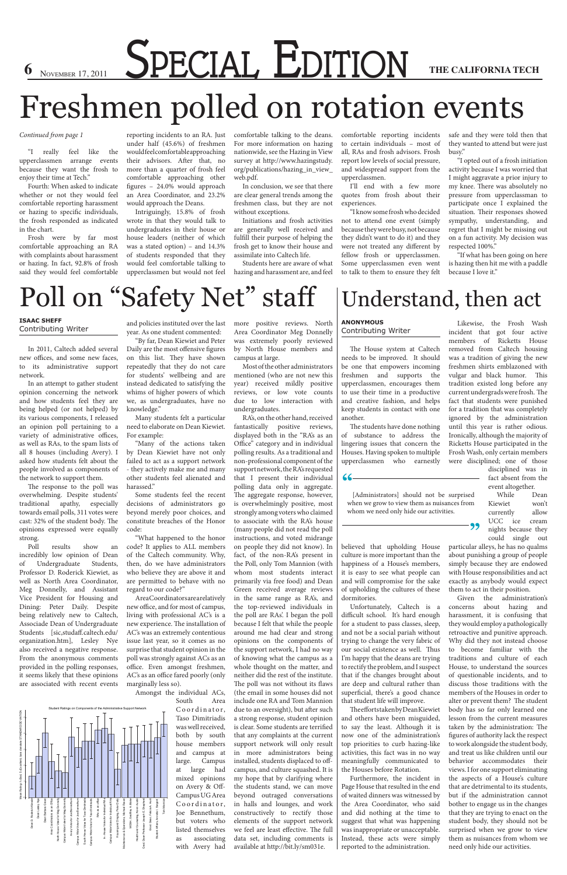**6** November 17, 2011 **SPECIAL EDITION** THE CALIFORNIA TECH

## Freshmen polled on rotation events

#### *Continued from page 1*

"I really feel like the upperclassmen arrange events because they want the frosh to enjoy their time at Tech."

Fourth: When asked to indicate whether or not they would feel comfortable reporting harassment or hazing to specific individuals, the frosh responded as indicated in the chart.

Frosh were by far most comfortable approaching an RA with complaints about harassment or hazing. In fact, 92.8% of frosh said they would feel comfortable reporting incidents to an RA. Just under half (45.6%) of freshmen would feel comfortable approaching their advisors. After that, no more than a quarter of frosh feel comfortable approaching other figures – 24.0% would approach an Area Coordinator, and 23.2% would approach the Deans.

Intriguingly, 15.8% of frosh wrote in that they would talk to undergraduates in their house or house leaders (neither of which was a stated option) – and 14.3% of students responded that they would feel comfortable talking to upperclassmen but would not feel

comfortable talking to the deans. For more information on hazing nationwide, see the Hazing in View survey at http://www.hazingstudy. org/publications/hazing\_in\_view\_ web.pdf.

In conclusion, we see that there are clear general trends among the freshmen class, but they are not without exceptions.

Initiations and frosh activities are generally well received and fulfill their purpose of helping the frosh get to know their house and assimilate into Caltech life.

Students here are aware of what hazing and harassment are, and feel comfortable reporting incidents to certain individuals – most of all, RAs and frosh advisors. Frosh report low levels of social pressure, and widespread support from the upperclassmen.

I'll end with a few more quotes from frosh about their experiences.

"I know some frosh who decided not to attend one event (simply because they were busy, not because they didn't want to do it) and they were not treated any different by fellow frosh or upperclassmen. Some upperclassmen even went to talk to them to ensure they felt safe and they were told then that they wanted to attend but were just busy."

"I opted out of a frosh initiation activity because I was worried that I might aggravate a prior injury to my knee. There was absolutely no pressure from upperclassman to participate once I explained the situation. Their responses showed sympathy, understanding, and regret that I might be missing out on a fun activity. My decision was respected 100%."

"If what has been going on here is hazing then hit me with a paddle because I love it."

## Poll on "Safety Net" staff

Area Coordinators are a relatively new office, and for most of campus, living with professional AC's is a new experience. The installation of AC's was an extremely contentious issue last year, so it comes as no surprise that student opinion in the poll was strongly against ACs as an office. Even amongst freshmen, AC's as an office fared poorly (only marginally less so).

#### **Isaac Sheff** Contributing Writer

In 2011, Caltech added several new offices, and some new faces, to its administrative support network.

> Coordinator, Taso Dimitriadis was well received, both by south house members and campus at large. Campus at large had mixed opinions on Avery & Off-Campus UG Area Maintenance & Operations, Michael Raven MOSH, Geoffrey A. Blake Health and Counseling, Kevin Austin Grad. Dean Professor Joseph E. Shepherd Grad. Dean, Felicia A. Hunt Grad. Dean, Felicia A. Hunt Student Affairs, Anneila I. Sargent Tom Mannion e & Operations, Michael Raver MOSH, Geoffrey A. Blak and Counseling, Kevin Austin rofessor Joseph E. Shepher Sargent<br>Mannion Coordinator, Joe Bennethum, but voters who listed themselves as associating with Avery had

In an attempt to gather student opinion concerning the network and how students feel they are being helped (or not helped) by its various components, I released an opinion poll pertaining to a variety of administrative offices, as well as RAs, to the spam lists of all 8 houses (including Avery). I asked how students felt about the people involved as components of the network to support them.

The response to the poll was overwhelming. Despite students' traditional apathy, especially towards email polls, 311 votes were cast: 32% of the student body. The opinions expressed were equally strong.

Poll results show an incredibly low opinion of Dean of Undergraduate Students, Professor D. Roderick Kiewiet, as well as North Area Coordinator, Meg Donnelly, and Assistant Vice President for Housing and Dining: Peter Daily. Despite being relatively new to Caltech, Associade Dean of Undergraduate Students [sic,studaff.caltech.edu/ organization.htm], Lesley Nye also received a negative response. From the anonymous comments provided in the polling responses, it seems likely that these opinions are associated with recent events

and policies instituted over the last year. As one student commented:

"By far, Dean Kiewiet and Peter Daily are the most offensive figures on this list. They have shown repeatedly that they do not care for students' wellbeing and are instead dedicated to satisfying the whims of higher powers of which we, as undergraduates, have no knowledge."

Many students felt a particular need to elaborate on Dean Kiewiet. For example:

"Many of the actions taken by Dean Kiewiet have not only failed to act as a support network - they actively make me and many other students feel alienated and harassed."

Some students feel the recent decisions of administrators go beyond merely poor choices, and constitute breaches of the Honor code:

"What happened to the honor code? It applies to ALL members of the Caltech community. Why, then, do we have administrators who believe they are above it and are permitted to behave with no regard to our code?"

Amongst the individual ACs, South Area more positive reviews. North Area Coordinator Meg Donnelly was extremely poorly reviewed by North House members and campus at large.

South Hovse Votes for Taso Dimitriadis Campus Wide Votes for Taso Dimitriadis

Wide Votes for Taso Dimi

Most of the other administrators mentioned (who are not new this year) received mildly positive reviews, or low vote counts due to low interaction with undergraduates.

RA's, on the other hand, received fantastically positive reviews, displayed both in the "RA's as an Office" category and in individual polling results. As a traditional and non-professional component of the support network, the RA's requested that I present their individual polling data only in aggregate. The aggregate response, however, is overwhelmingly positive, most strongly among voters who claimed to associate with the RA's house (many people did not read the poll instructions, and voted midrange on people they did not know). In fact, of the non-RA's present in the Poll, only Tom Mannion (with whom most students interact primarily via free food) and Dean Green received average reviews in the same range as RA's, and the top-reviewed individuals in the poll are RAs'. I began the poll because I felt that while the people around me had clear and strong opinions on the components of the support network, I had no way of knowing what the campus as a whole thought on the matter, and neither did the rest of the institute. The poll was not without its flaws (the email in some houses did not include one RA and Tom Mannion due to an oversight), but after such a strong response, student opinion is clear. Some students are terrified that any complaints at the current support network will only result in more administrators being installed, students displaced to offcampus, and culture squashed. It is my hope that by clarifying where the students stand, we can move beyond outraged conversations in halls and lounges, and work constructively to rectify those elements of the support network we feel are least effective. The full data set, including comments is available at http://bit.ly/sm031e.

#### **Anonymous**

Contributing Writer

The House system at Caltech needs to be improved. It should be one that empowers incoming freshmen and supports the upperclassmen, encourages them to use their time in a productive and creative fashion, and helps keep students in contact with one another.

The students have done nothing of substance to address the lingering issues that concern the Houses. Having spoken to multiple upperclassmen who earnestly

believed that upholding House culture is more important than the happiness of a House's members, it is easy to see what people can and will compromise for the sake of upholding the cultures of these dormitories.

Unfortunately, Caltech is a difficult school. It's hard enough for a student to pass classes, sleep, and not be a social pariah without trying to change the very fabric of our social existence as well. Thus I'm happy that the deans are trying to rectify the problem, and I suspect that if the changes brought about are deep and cultural rather than superficial, there's a good chance that student life will improve. The efforts taken by Dean Kiewiet and others have been misguided, to say the least. Although it is now one of the administration's top priorities to curb hazing-like activities, this fact was in no way meaningfully communicated to the Houses before Rotation. Furthermore, the incident in Page House that resulted in the end of waited dinners was witnessed by the Area Coordinator, who said and did nothing at the time to suggest that what was happening was inappropriate or unacceptable. Instead, these acts were simply reported to the administration.

Likewise, the Frosh Wash incident that got four active members of Ricketts House removed from Caltech housing was a tradition of giving the new freshmen shirts emblazoned with vulgar and black humor. This tradition existed long before any current undergrads were frosh. The fact that students were punished for a tradition that was completely ignored by the administration until this year is rather odious. Ironically, although the majority of Ricketts House participated in the Frosh Wash, only certain members were disciplined; one of those

disciplined was in fact absent from the event altogether.

While Dean Kiewiet won't currently allow UCC ice cream nights because they could single out

particular alleys, he has no qualms about punishing a group of people simply because they are endowed with House responsibilities and act exactly as anybody would expect them to act in their position.

Given the administration's concerns about hazing and harassment, it is confusing that they would employ a pathologically retroactive and punitive approach. Why did they not instead choose to become familiar with the traditions and culture of each House, to understand the sources of questionable incidents, and to discuss those traditions with the members of the Houses in order to alter or prevent them? The student body has so far only learned one lesson from the current measures taken by the administration: The figures of authority lack the respect to work alongside the student body, and treat us like children until our behavior accommodates their views. I for one support eliminating the aspects of a House's culture that are detrimental to its students, but if the administration cannot bother to engage us in the changes that they are trying to enact on the student body, they should not be surprised when we grow to view them as nuisances from whom we need only hide our activities.

**"**

[Administrators] should not be surprised when we grow to view them as nuisances from whom we need only hide our activities.

**"**

### Understand, then act

RAs as an office InHouse Votes for Individual RAs Campus Wide Votes for Individual RAs Housing and Dinging, Peter Daily

ous Wide Votes for Individual RA: Housing and Dinging, Peter Daily

In-House Votes for Individual RA

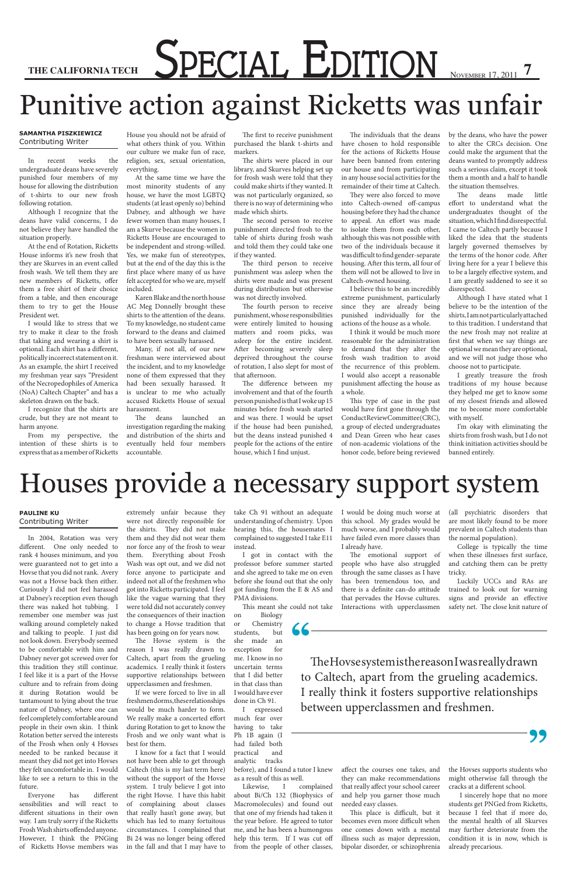# THE CALIFORNIA TECH SPECIAL **EDITION**

## Punitive action against Ricketts was unfair

#### **Samantha Piszkiewicz** Contributing Writer

In recent weeks the undergraduate deans have severely punished four members of my house for allowing the distribution of t-shirts to our new frosh following rotation.

Although I recognize that the deans have valid concerns, I do not believe they have handled the situation properly.

At the end of Rotation, Ricketts House informs it's new frosh that they are Skurves in an event called frosh wash. We tell them they are new members of Ricketts, offer them a free shirt of their choice from a table, and then encourage them to try to get the House President wet.

I would like to stress that we try to make it clear to the frosh that taking and wearing a shirt is optional. Each shirt has a different, politically incorrect statement on it. As an example, the shirt I received my freshman year says "President of the Necropedophiles of America (NoA) Caltech Chapter" and has a skeleton drawn on the back.

I recognize that the shirts are crude, but they are not meant to harm anyone.

From my perspective, the intention of these shirts is to express that as a member of Ricketts

House you should not be afraid of

what others think of you. Within our culture we make fun of race, religion, sex, sexual orientation, everything.

At the same time we have the most minority students of any house, we have the most LGBTQ students (at least openly so) behind Dabney, and although we have fewer women than many houses, I am a Skurve because the women in Ricketts House are encouraged to be independent and strong-willed. Yes, we make fun of stereotypes, but at the end of the day this is the first place where many of us have felt accepted for who we are, myself included.

Karen Blake and the north house AC Meg Donnelly brought these shirts to the attention of the deans. To my knowledge, no student came forward to the deans and claimed to have been sexually harassed.

Many, if not all, of our new freshman were interviewed about the incident, and to my knowledge none of them expressed that they had been sexually harassed. It is unclear to me who actually accused Ricketts House of sexual harassment.

The deans launched an investigation regarding the making and distribution of the shirts and eventually held four members accountable.

The first to receive punishment purchased the blank t-shirts and markers.

The shirts were placed in our library, and Skurves helping set up for frosh wash were told that they could make shirts if they wanted. It was not particularly organized, so there is no way of determining who made which shirts.

The second person to receive punishment directed frosh to the table of shirts during frosh wash and told them they could take one if they wanted.

The third person to receive punishment was asleep when the shirts were made and was present during distribution but otherwise was not directly involved.

The fourth person to receive punishment, whose responsibilities were entirely limited to housing matters and room picks, was asleep for the entire incident. After becoming severely sleep deprived throughout the course of rotation, I also slept for most of that afternoon.

The difference between my involvement and that of the fourth person punished is that I woke up 15 minutes before frosh wash started and was there. I would be upset if the house had been punished, but the deans instead punished 4 people for the actions of the entire house, which I find unjust.

The individuals that the deans have chosen to hold responsible for the actions of Ricketts House have been banned from entering our house and from participating in any house social activities for the remainder of their time at Caltech.

They were also forced to move into Caltech-owned off-campus housing before they had the chance to appeal. An effort was made to isolate them from each other, although this was not possible with two of the individuals because it was difficult to find gender-separate housing. After this term, all four of them will not be allowed to live in Caltech-owned housing.

I believe this to be an incredibly extreme punishment, particularly since they are already being punished individually for the actions of the house as a whole.

I think it would be much more reasonable for the administration to demand that they alter the frosh wash tradition to avoid the recurrence of this problem. I would also accept a reasonable punishment affecting the house as a whole.

Biology or Chemistry students, but she made an

This type of case in the past would have first gone through the Conduct Review Committee (CRC), a group of elected undergraduates and Dean Green who hear cases of non-academic violations of the honor code, before being reviewed

by the deans, who have the power to alter the CRCs decision. One could make the argument that the deans wanted to promptly address such a serious claim, except it took them a month and a half to handle the situation themselves.

The deans made little effort to understand what the undergraduates thought of the situation, which I find disrespectful. I came to Caltech partly because I liked the idea that the students largely governed themselves by the terms of the honor code. After living here for a year I believe this to be a largely effective system, and I am greatly saddened to see it so disrespected.

Although I have stated what I believe to be the intention of the shirts, I am not particularly attached to this tradition. I understand that the new frosh may not realize at first that when we say things are optional we mean they are optional, and we will not judge those who choose not to participate.

I greatly treasure the frosh traditions of my house because they helped me get to know some of my closest friends and allowed me to become more comfortable with myself.

I'm okay with eliminating the shirts from frosh wash, but I do not think initiation activities should be banned entirely.

## Houses provide a necessary support system

#### **Pauline Ku** Contributing Writer

In 2004, Rotation was very different. One only needed to rank 4 houses minimum, and you were guaranteed not to get into a Hovse that you did not rank. Avery was not a Hovse back then either. Curiously I did not feel harassed at Dabney's reception even though there was naked hot tubbing. I remember one member was just walking around completely naked and talking to people. I just did not look down. Everybody seemed to be comfortable with him and Dabney never got screwed over for this tradition they still continue. I feel like it is a part of the Hovse culture and to refrain from doing it during Rotation would be tantamount to lying about the true nature of Dabney, where one can feel completely comfortable around people in their own skin. I think Rotation better served the interests of the Frosh when only 4 Hovses needed to be ranked because it meant they did not get into Hovses they felt uncomfortable in. I would like to see a return to this in the future. Everyone has different sensibilities and will react to different situations in their own way. I am truly sorry if the Ricketts Frosh Wash shirts offended anyone. However, I think the PNGing of Ricketts Hovse members was

extremely unfair because they were not directly responsible for the shirts. They did not make them and they did not wear them nor force any of the frosh to wear them. Everything about Frosh Wash was opt out, and we did not force anyone to participate and indeed not all of the freshmen who got into Ricketts participated. I feel like the vague warning that they were told did not accurately convey the consequences of their inaction to change a Hovse tradition that has been going on for years now.

The Hovse system is the

reason I was really drawn to Caltech, apart from the grueling academics. I really think it fosters supportive relationships between upperclassmen and freshmen.

If we were forced to live in all freshmen dorms, these relationships would be much harder to form. We really make a concerted effort during Rotation to get to know the Frosh and we only want what is best for them.

I know for a fact that I would not have been able to get through Caltech (this is my last term here) without the support of the Hovse system. I truly believe I got into the right Hovse. I have this habit of complaining about classes that really hasn't gone away, but which has led to many fortuitous circumstances. I complained that Bi 24 was no longer being offered in the fall and that I may have to

take Ch 91 without an adequate understanding of chemistry. Upon hearing this, the housemates I complained to suggested I take E11 instead.

I got in contact with the professor before summer started and she agreed to take me on even before she found out that she only got funding from the E & AS and PMA divisions.

This meant she could not take

exception for me. I know in no uncertain terms that I did better in that class than I would have ever done in Ch 91.

I expressed much fear over having to take Ph 1B again (I had failed both practical and analytic tracks

before), and I found a tutor I knew as a result of this as well.

Likewise, I complained about Bi/Ch 132 (Biophysics of Macromolecules) and found out that one of my friends had taken it the year before. He agreed to tutor me, and he has been a humongous help this term. If I was cut off from the people of other classes,

I would be doing much worse at this school. My grades would be much worse, and I probably would have failed even more classes than I already have.

The emotional support of people who have also struggled through the same classes as I have has been tremendous too, and there is a definite can-do attitude that pervades the Hovse cultures. Interactions with upperclassmen

affect the courses one takes, and they can make recommendations that really affect your school career and help you garner those much needed easy classes.

This place is difficult, but it becomes even more difficult when one comes down with a mental illness such as major depression, bipolar disorder, or schizophrenia

**"**

The Hovse system is the reason I was really drawn to Caltech, apart from the grueling academics. I really think it fosters supportive relationships between upperclassmen and freshmen.

**"**

(all psychiatric disorders that are most likely found to be more prevalent in Caltech students than the normal population).

College is typically the time when these illnesses first surface, and catching them can be pretty tricky.

Luckily UCCs and RAs are trained to look out for warning signs and provide an effective safety net. The close knit nature of

the Hovses supports students who might otherwise fall through the cracks at a different school.

 I sincerely hope that no more students get PNGed from Ricketts, because I feel that if more do, the mental health of all Skurves may further deteriorate from the condition it is in now, which is already precarious.